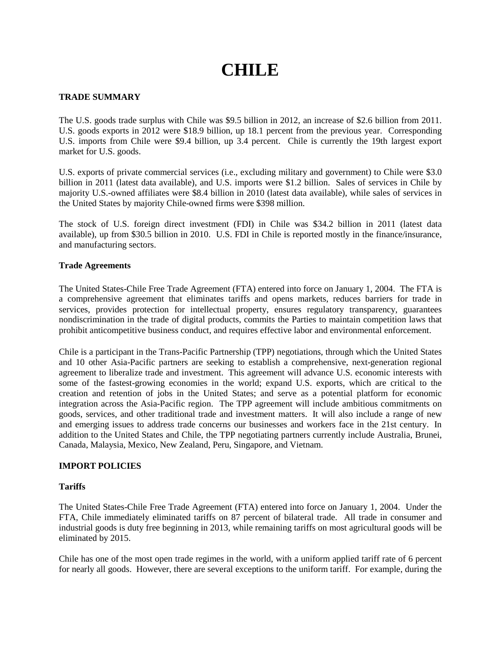# **CHILE**

# **TRADE SUMMARY**

The U.S. goods trade surplus with Chile was \$9.5 billion in 2012, an increase of \$2.6 billion from 2011. U.S. goods exports in 2012 were \$18.9 billion, up 18.1 percent from the previous year. Corresponding U.S. imports from Chile were \$9.4 billion, up 3.4 percent. Chile is currently the 19th largest export market for U.S. goods.

U.S. exports of private commercial services (i.e., excluding military and government) to Chile were \$3.0 billion in 2011 (latest data available), and U.S. imports were \$1.2 billion. Sales of services in Chile by majority U.S.-owned affiliates were \$8.4 billion in 2010 (latest data available), while sales of services in the United States by majority Chile-owned firms were \$398 million.

The stock of U.S. foreign direct investment (FDI) in Chile was \$34.2 billion in 2011 (latest data available), up from \$30.5 billion in 2010. U.S. FDI in Chile is reported mostly in the finance/insurance, and manufacturing sectors.

### **Trade Agreements**

The United States-Chile Free Trade Agreement (FTA) entered into force on January 1, 2004. The FTA is a comprehensive agreement that eliminates tariffs and opens markets, reduces barriers for trade in services, provides protection for intellectual property, ensures regulatory transparency, guarantees nondiscrimination in the trade of digital products, commits the Parties to maintain competition laws that prohibit anticompetitive business conduct, and requires effective labor and environmental enforcement.

Chile is a participant in the Trans-Pacific Partnership (TPP) negotiations, through which the United States and 10 other Asia-Pacific partners are seeking to establish a comprehensive, next-generation regional agreement to liberalize trade and investment. This agreement will advance U.S. economic interests with some of the fastest-growing economies in the world; expand U.S. exports, which are critical to the creation and retention of jobs in the United States; and serve as a potential platform for economic integration across the Asia-Pacific region. The TPP agreement will include ambitious commitments on goods, services, and other traditional trade and investment matters. It will also include a range of new and emerging issues to address trade concerns our businesses and workers face in the 21st century. In addition to the United States and Chile, the TPP negotiating partners currently include Australia, Brunei, Canada, Malaysia, Mexico, New Zealand, Peru, Singapore, and Vietnam.

# **IMPORT POLICIES**

#### **Tariffs**

The United States-Chile Free Trade Agreement (FTA) entered into force on January 1, 2004. Under the FTA, Chile immediately eliminated tariffs on 87 percent of bilateral trade. All trade in consumer and industrial goods is duty free beginning in 2013, while remaining tariffs on most agricultural goods will be eliminated by 2015.

Chile has one of the most open trade regimes in the world, with a uniform applied tariff rate of 6 percent for nearly all goods. However, there are several exceptions to the uniform tariff. For example, during the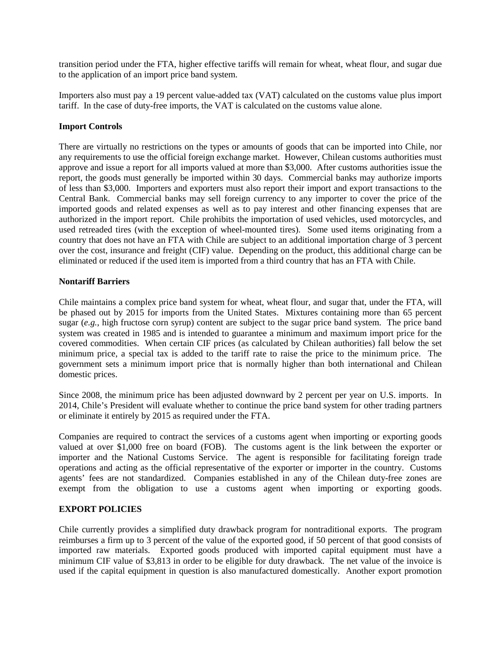transition period under the FTA, higher effective tariffs will remain for wheat, wheat flour, and sugar due to the application of an import price band system.

Importers also must pay a 19 percent value-added tax (VAT) calculated on the customs value plus import tariff. In the case of duty-free imports, the VAT is calculated on the customs value alone.

### **Import Controls**

There are virtually no restrictions on the types or amounts of goods that can be imported into Chile, nor any requirements to use the official foreign exchange market. However, Chilean customs authorities must approve and issue a report for all imports valued at more than \$3,000. After customs authorities issue the report, the goods must generally be imported within 30 days. Commercial banks may authorize imports of less than \$3,000. Importers and exporters must also report their import and export transactions to the Central Bank. Commercial banks may sell foreign currency to any importer to cover the price of the imported goods and related expenses as well as to pay interest and other financing expenses that are authorized in the import report. Chile prohibits the importation of used vehicles, used motorcycles, and used retreaded tires (with the exception of wheel-mounted tires). Some used items originating from a country that does not have an FTA with Chile are subject to an additional importation charge of 3 percent over the cost, insurance and freight (CIF) value. Depending on the product, this additional charge can be eliminated or reduced if the used item is imported from a third country that has an FTA with Chile.

### **Nontariff Barriers**

Chile maintains a complex price band system for wheat, wheat flour, and sugar that, under the FTA, will be phased out by 2015 for imports from the United States. Mixtures containing more than 65 percent sugar (*e.g.*, high fructose corn syrup) content are subject to the sugar price band system. The price band system was created in 1985 and is intended to guarantee a minimum and maximum import price for the covered commodities. When certain CIF prices (as calculated by Chilean authorities) fall below the set minimum price, a special tax is added to the tariff rate to raise the price to the minimum price. The government sets a minimum import price that is normally higher than both international and Chilean domestic prices.

Since 2008, the minimum price has been adjusted downward by 2 percent per year on U.S. imports. In 2014, Chile's President will evaluate whether to continue the price band system for other trading partners or eliminate it entirely by 2015 as required under the FTA.

Companies are required to contract the services of a customs agent when importing or exporting goods valued at over \$1,000 free on board (FOB). The customs agent is the link between the exporter or importer and the National Customs Service. The agent is responsible for facilitating foreign trade operations and acting as the official representative of the exporter or importer in the country. Customs agents' fees are not standardized. Companies established in any of the Chilean duty-free zones are exempt from the obligation to use a customs agent when importing or exporting goods.

#### **EXPORT POLICIES**

Chile currently provides a simplified duty drawback program for nontraditional exports. The program reimburses a firm up to 3 percent of the value of the exported good, if 50 percent of that good consists of imported raw materials. Exported goods produced with imported capital equipment must have a minimum CIF value of \$3,813 in order to be eligible for duty drawback. The net value of the invoice is used if the capital equipment in question is also manufactured domestically. Another export promotion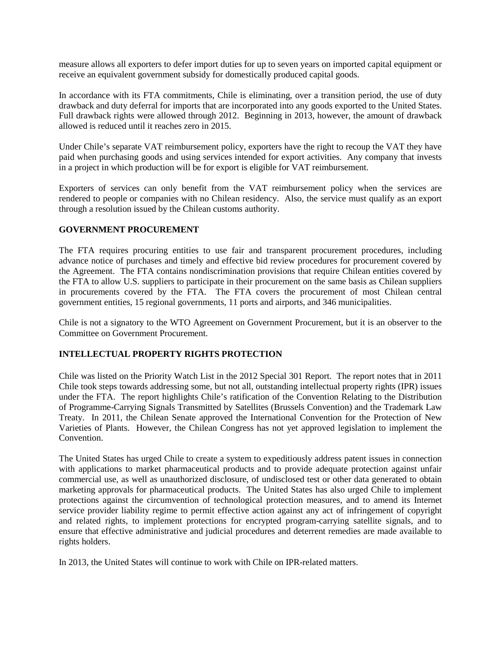measure allows all exporters to defer import duties for up to seven years on imported capital equipment or receive an equivalent government subsidy for domestically produced capital goods.

In accordance with its FTA commitments, Chile is eliminating, over a transition period, the use of duty drawback and duty deferral for imports that are incorporated into any goods exported to the United States. Full drawback rights were allowed through 2012. Beginning in 2013, however, the amount of drawback allowed is reduced until it reaches zero in 2015.

Under Chile's separate VAT reimbursement policy, exporters have the right to recoup the VAT they have paid when purchasing goods and using services intended for export activities. Any company that invests in a project in which production will be for export is eligible for VAT reimbursement.

Exporters of services can only benefit from the VAT reimbursement policy when the services are rendered to people or companies with no Chilean residency. Also, the service must qualify as an export through a resolution issued by the Chilean customs authority.

### **GOVERNMENT PROCUREMENT**

The FTA requires procuring entities to use fair and transparent procurement procedures, including advance notice of purchases and timely and effective bid review procedures for procurement covered by the Agreement. The FTA contains nondiscrimination provisions that require Chilean entities covered by the FTA to allow U.S. suppliers to participate in their procurement on the same basis as Chilean suppliers in procurements covered by the FTA. The FTA covers the procurement of most Chilean central government entities, 15 regional governments, 11 ports and airports, and 346 municipalities.

Chile is not a signatory to the WTO Agreement on Government Procurement, but it is an observer to the Committee on Government Procurement.

# **INTELLECTUAL PROPERTY RIGHTS PROTECTION**

Chile was listed on the Priority Watch List in the 2012 Special 301 Report. The report notes that in 2011 Chile took steps towards addressing some, but not all, outstanding intellectual property rights (IPR) issues under the FTA. The report highlights Chile's ratification of the Convention Relating to the Distribution of Programme-Carrying Signals Transmitted by Satellites (Brussels Convention) and the Trademark Law Treaty. In 2011, the Chilean Senate approved the International Convention for the Protection of New Varieties of Plants. However, the Chilean Congress has not yet approved legislation to implement the Convention.

The United States has urged Chile to create a system to expeditiously address patent issues in connection with applications to market pharmaceutical products and to provide adequate protection against unfair commercial use, as well as unauthorized disclosure, of undisclosed test or other data generated to obtain marketing approvals for pharmaceutical products. The United States has also urged Chile to implement protections against the circumvention of technological protection measures, and to amend its Internet service provider liability regime to permit effective action against any act of infringement of copyright and related rights, to implement protections for encrypted program-carrying satellite signals, and to ensure that effective administrative and judicial procedures and deterrent remedies are made available to rights holders.

In 2013, the United States will continue to work with Chile on IPR-related matters.